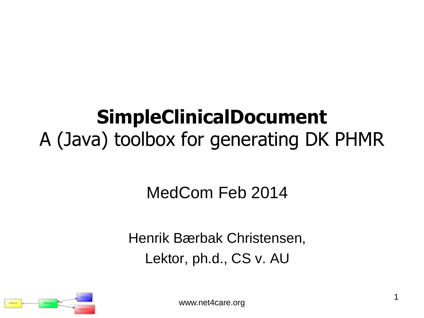## **SimpleClinicalDocument** A (Java) toolbox for generating DK PHMR

## MedCom Feb 2014

Henrik Bærbak Christensen, Lektor, ph.d., CS v. AU

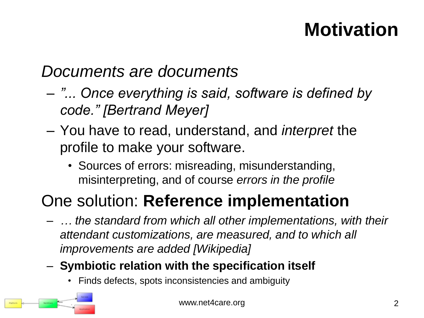## **Motivation**

### *Documents are documents*

- *"... Once everything is said, software is defined by code." [Bertrand Meyer]*
- You have to read, understand, and *interpret* the profile to make your software.
	- Sources of errors: misreading, misunderstanding, misinterpreting, and of course *errors in the profile*

## One solution: **Reference implementation**

– *… the standard from which all other implementations, with their attendant customizations, are measured, and to which all improvements are added [Wikipedia]*

#### – **Symbiotic relation with the specification itself**

• Finds defects, spots inconsistencies and ambiguity

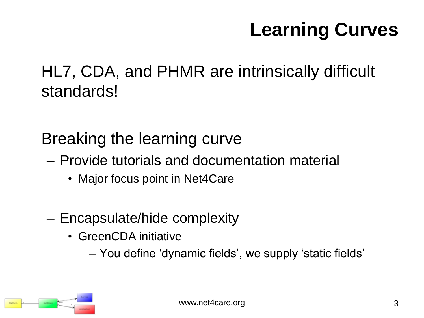# **Learning Curves**

## HL7, CDA, and PHMR are intrinsically difficult standards!

Breaking the learning curve

- Provide tutorials and documentation material
	- Major focus point in Net4Care
- Encapsulate/hide complexity
	- GreenCDA initiative
		- You define 'dynamic fields', we supply 'static fields'

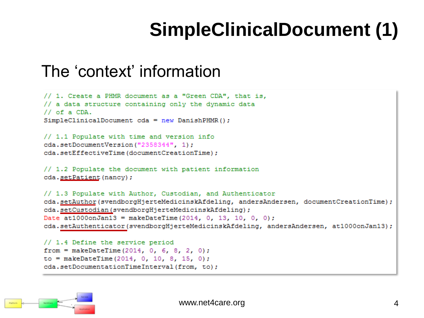# **SimpleClinicalDocument (1)**

### The 'context' information

```
// 1. Create a PHMR document as a "Green CDA", that is,
// a data structure containing only the dynamic data
\frac{1}{\sqrt{6}} of a CDA.
SimpleClinicalDocument cda = new DanishPHMR():
// 1.1 Populate with time and version info
cda.setDocumentVersion("2358344", 1);
cda.setEffectiveTime(documentCreationTime);
// 1.2 Populate the document with patient information
cda.setPatient(nancy);
// 1.3 Populate with Author, Custodian, and Authenticator
cda.setAuthor(svendborgHjerteMedicinskAfdeling, andersAndersen, documentCreationTime);
cda.setCustodian(svendborgHjerteMedicinskAfdeling);
Date at 1000 on Jan 13 = make Date Time (2014, 0, 13, 10, 0, 0);
cda.setAuthenticator(svendborgHjerteMedicinskAfdeling, andersAndersen, at1000onJan13);
// 1.4 Define the service period
from = makeDateTime(2014, 0, 6, 8, 2, 0);
```


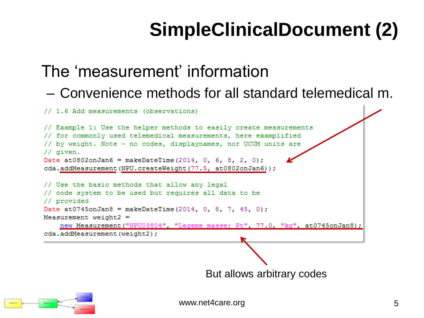# **SimpleClinicalDocument (2)**

## The 'measurement' information

#### – Convenience methods for all standard telemedical m.

```
// 1.6 Add measurements (observations)
// Example 1: Use the helper methods to easily create measurements
// for commonly used telemedical measurements, here examplified
// by weight. Note - no codes, displaynames, nor UCUM units are
// qiven.
Date at 0802on Jan 6 = makeDateTime (2014, 0, 6, 8, 2, 0);
cda.addMeasurement(NPU.createWeight(77.5, at0802onJan6));
// Use the basic methods that allow any legal
// code system to be used but requires all data to be
// provided
Date at 0745 on Jan 8 = makeDateTime (2014, 0, 8, 7, 45, 0);
Measurement weight2 =
    new Measurement ("NPU03804", "Legeme masse; Pt", 77.0, "kg", at0745onJan8);
cda.addMeasurement(weight2);
```


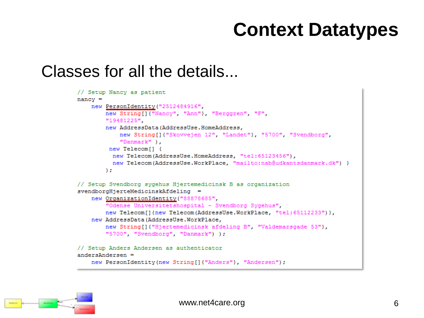## **Context Datatypes**

#### Classes for all the details...

```
// Setup Nancy as patient
nancy =new PersonIdentity ("2512484916",
        new String[]{"Nancy", "Ann"}, "Berggren", "F",
        "19481225",
        new AddressData (AddressUse.HomeAddress,
            new String[]{"Skovvejen 12", "Landet"}, "5700", "Svendborg",
            "Danmark").
         new Telecom<sup>[]</sup> {
          new Telecom(AddressUse.HomeAddress, "tel:65123456"),
          new Telecom(AddressUse.WorkPlace, "mailto:nab@udkantsdanmark.dk") }
        \rightarrow// Setup Svendborg sygehus Hjertemedicinsk B as organization
svendborgHjerteMedicinskAfdeling =
    new OrganizationIdentity ("88878685",
        "Odense Universitetshospital - Svendborg Sygehus",
        new Telecom[] {new Telecom (AddressUse. WorkPlace, "tel: 65112233") },
    new AddressData (AddressUse.WorkPlace,
        new String[]{"Hjertemedicinsk afdeling B", "Valdemarsgade 53"},
        "5700", "Svendborg", "Danmark") );
// Setup Anders Andersen as authenticator
andersAndersen =new PersonIdentity(new String[]{"Anders"}, "Andersen");
```
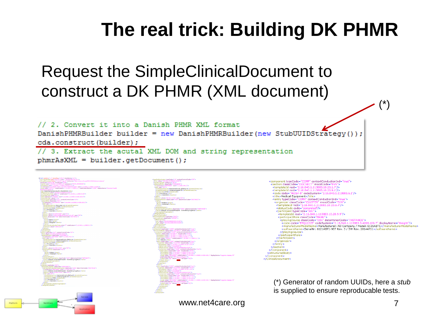# **The real trick: Building DK PHMR**

### Request the SimpleClinicalDocument to construct a DK PHMR (XML document)

// 2. Convert it into a Danish PHMR XML format DanishPHMRBuilder builder = new DanishPHMRBuilder (new StubUUIDStrategy()); cda.construct(builder); // 3. Extract the acutal XML DOM and string representation  $phmrAsXML = builder.getDocument()$ ;

|  | <clinicaldocument <="" smins="untihl7-org:v3" smins:xai="http://www.w3.org/2001/XML5chema-irgtance" th=""></clinicaldocument>                                                                                                                                                                                                                                                                                                                                                                                                                                   |
|--|-----------------------------------------------------------------------------------------------------------------------------------------------------------------------------------------------------------------------------------------------------------------------------------------------------------------------------------------------------------------------------------------------------------------------------------------------------------------------------------------------------------------------------------------------------------------|
|  | dassCode="DOCCLIM" moodCode="EVN"><br><type1d extension="POCD_HD000040" root="2.16.840.1.113883.1.3"></type1d>                                                                                                                                                                                                                                                                                                                                                                                                                                                  |
|  | <template1d root="2.16.840.1.113883.3.4208.11.1"></template1d>                                                                                                                                                                                                                                                                                                                                                                                                                                                                                                  |
|  | <id extension="aa2386d0-79ea-11e3-981f-0800200c9a66" root="2.16.840.1.113883.3.4208"></id>                                                                                                                                                                                                                                                                                                                                                                                                                                                                      |
|  | <code.code="53576-5" 20140113100000+0100"="" codesystem="2.16.840.1.113883.6.1" codesystemname="LOINC" displayname="Personal Health&lt;/td&gt;&lt;/tr&gt;&lt;tr&gt;&lt;td&gt;&lt;/td&gt;&lt;td&gt;Monitoring Report'/&gt;&lt;/td&gt;&lt;/tr&gt;&lt;tr&gt;&lt;td&gt;&lt;/td&gt;&lt;td&gt;&lt;title&gt;Hjemmemonitorering for 2512454916&lt;/title&gt;&lt;/td&gt;&lt;/tr&gt;&lt;tr&gt;&lt;td&gt;&lt;/td&gt;&lt;td&gt;&lt;effectiveTime value="></code.code="53576-5"><br><confidentialitycode code="N" codesystem="2.16.840.1.113883.5.25"></confidentialitycode> |
|  | <languagecode code="da"></languagecode>                                                                                                                                                                                                                                                                                                                                                                                                                                                                                                                         |
|  | <set1d extension="2358344" rock="2.16.840.1.113883.3.4208.100.6"></set1d>                                                                                                                                                                                                                                                                                                                                                                                                                                                                                       |
|  | cyersionNumber value="1"/>                                                                                                                                                                                                                                                                                                                                                                                                                                                                                                                                      |
|  | <recordtarget contextcontrolcode="OF" typecode="RCT"><br/><patientrole desscode="PAT"></patientrole></recordtarget>                                                                                                                                                                                                                                                                                                                                                                                                                                             |
|  | <id extension="2512484916" root="2.16.840.1.113883.3.4208.100.2"></id>                                                                                                                                                                                                                                                                                                                                                                                                                                                                                          |
|  | caddrigge="H">                                                                                                                                                                                                                                                                                                                                                                                                                                                                                                                                                  |
|  | <streetaddressline>Skovvelen 12</streetaddressline>                                                                                                                                                                                                                                                                                                                                                                                                                                                                                                             |
|  | <streetaddressline>Landet</streetaddressline>                                                                                                                                                                                                                                                                                                                                                                                                                                                                                                                   |
|  | <postalcode>5700</postalcode><br><br>sty>Svendborg                                                                                                                                                                                                                                                                                                                                                                                                                                                                                                              |
|  | <country>Danmark</country>                                                                                                                                                                                                                                                                                                                                                                                                                                                                                                                                      |
|  |                                                                                                                                                                                                                                                                                                                                                                                                                                                                                                                                                                 |
|  | <br>ctelecom value="tel:65123456" use="H"/>                                                                                                                                                                                                                                                                                                                                                                                                                                                                                                                     |
|  | <telecom use="WP" value="mailto:nab@udkantsdanmark.dk"></telecom>                                                                                                                                                                                                                                                                                                                                                                                                                                                                                               |
|  | <patient classcode="PSN" determinercode="INSTANCE"><br/>continue</patient>                                                                                                                                                                                                                                                                                                                                                                                                                                                                                      |
|  | <given>Nancy</given>                                                                                                                                                                                                                                                                                                                                                                                                                                                                                                                                            |
|  | coven>Ann                                                                                                                                                                                                                                                                                                                                                                                                                                                                                                                                                       |
|  | <html>&gt;Berggren</html> >                                                                                                                                                                                                                                                                                                                                                                                                                                                                                                                                     |
|  |                                                                                                                                                                                                                                                                                                                                                                                                                                                                                                                                                                 |
|  | <administrativegendercode code="F" codesystem="2.16.840.1.113883.5.1"></administrativegendercode><br><br>cbirthTime value="19481225"/>                                                                                                                                                                                                                                                                                                                                                                                                                          |
|  |                                                                                                                                                                                                                                                                                                                                                                                                                                                                                                                                                                 |
|  |                                                                                                                                                                                                                                                                                                                                                                                                                                                                                                                                                                 |
|  |                                                                                                                                                                                                                                                                                                                                                                                                                                                                                                                                                                 |
|  | <author contextcontrolcode="OP" typecode="AUT"></author>                                                                                                                                                                                                                                                                                                                                                                                                                                                                                                        |
|  | <time value="20140113100000+0100"></time><br><assignedauthor classcode="ASS(GNED"></assignedauthor>                                                                                                                                                                                                                                                                                                                                                                                                                                                             |
|  | <id extension="88878685" rock="1.2.208.176.1"></id>                                                                                                                                                                                                                                                                                                                                                                                                                                                                                                             |
|  | <addr use="WP"></addr>                                                                                                                                                                                                                                                                                                                                                                                                                                                                                                                                          |
|  | cstreetAddressLine>Hiertemedicinsk afdeling B                                                                                                                                                                                                                                                                                                                                                                                                                                                                                                                   |
|  | <streetaddressline>Valdemarsoade 53</streetaddressline>                                                                                                                                                                                                                                                                                                                                                                                                                                                                                                         |
|  | <br>contalCode>5700<br><oty>Svendborg</oty>                                                                                                                                                                                                                                                                                                                                                                                                                                                                                                                     |
|  | <country>Denmark</country>                                                                                                                                                                                                                                                                                                                                                                                                                                                                                                                                      |
|  | claddra                                                                                                                                                                                                                                                                                                                                                                                                                                                                                                                                                         |
|  | <telecom use="nP" value="tel:65112233"></telecom>                                                                                                                                                                                                                                                                                                                                                                                                                                                                                                               |
|  | <assignedperson classcode="PSN"><br/><b>CANTING</b></assignedperson>                                                                                                                                                                                                                                                                                                                                                                                                                                                                                            |
|  | <given>Anders</given>                                                                                                                                                                                                                                                                                                                                                                                                                                                                                                                                           |
|  | <family>Andersen</family>                                                                                                                                                                                                                                                                                                                                                                                                                                                                                                                                       |
|  |                                                                                                                                                                                                                                                                                                                                                                                                                                                                                                                                                                 |
|  |                                                                                                                                                                                                                                                                                                                                                                                                                                                                                                                                                                 |
|  | <representedorganization classcode="ORG" determinercode="INSTANCE"></representedorganization>                                                                                                                                                                                                                                                                                                                                                                                                                                                                   |
|  | <name>Odense Universitetshospital - Svendborg Svgehus</name><br>                                                                                                                                                                                                                                                                                                                                                                                                                                                                                                |
|  |                                                                                                                                                                                                                                                                                                                                                                                                                                                                                                                                                                 |
|  |                                                                                                                                                                                                                                                                                                                                                                                                                                                                                                                                                                 |
|  | <custodian typecode="CST"></custodian>                                                                                                                                                                                                                                                                                                                                                                                                                                                                                                                          |
|  | <assignedcustodian classcode="ASSIGNED"></assignedcustodian>                                                                                                                                                                                                                                                                                                                                                                                                                                                                                                    |
|  | <representedcustodianorganization classcode="ORG" determinercode="INSTANCE"><br/><id extension="88878685" root="1.2.208.176.1"></id></representedcustodianorganization>                                                                                                                                                                                                                                                                                                                                                                                         |
|  | <name>Odense Universitetshospital - Svendborg Sygehus</name>                                                                                                                                                                                                                                                                                                                                                                                                                                                                                                    |
|  | <telecom use="wP" value="tel:65112233"></telecom>                                                                                                                                                                                                                                                                                                                                                                                                                                                                                                               |
|  | caddr use="WP">                                                                                                                                                                                                                                                                                                                                                                                                                                                                                                                                                 |
|  | <streetaddressline>Hiertemedicinsk afdeling B</streetaddressline>                                                                                                                                                                                                                                                                                                                                                                                                                                                                                               |
|  | <streetaddressline>Valdemarscade 53</streetaddressline>                                                                                                                                                                                                                                                                                                                                                                                                                                                                                                         |
|  | <postalcode>\$700</postalcode><br><br>solv>Svendborg                                                                                                                                                                                                                                                                                                                                                                                                                                                                                                            |
|  | country>Danmark                                                                                                                                                                                                                                                                                                                                                                                                                                                                                                                                                 |
|  |                                                                                                                                                                                                                                                                                                                                                                                                                                                                                                                                                                 |
|  |                                                                                                                                                                                                                                                                                                                                                                                                                                                                                                                                                                 |
|  |                                                                                                                                                                                                                                                                                                                                                                                                                                                                                                                                                                 |

ASSIGNED"><br>http://www.assigner.com <u>in indication</u>

```
<component typeCode="COMP" contextConductionInd="true">
     <section classCode="DOCSECT" moodCode="EVN">
      <templateId root="2.16.840.1.113883.10.20.1.7"/>
      <templateId root="2.16.840.1.113883.10.20.9.1"/>
      <code code="46264-8" codeSystem="2.16.840.1.113883.6.1"/>
      <title>Medical Equipment</title>
      <entry typeCode="COMP" contextConductionInd="true"><br><organizer classCode="CLUSTER" moodCode="EVN">
         <templateId root="2.16.840.1.113883.10.20.9.4"/>
        <statusCode code="completed"/>
         <participant typeCode="SBJ">
          <templateId root="2.16.840.1.113883.10.20.9.9"/>
          <participantRole classCode="MANU">
           <playingDevice.classCode="DEV".determinerCode="INSTANCE">
                                                            .1.113883.3.4208.100.7" displayName="Weight"/>
            <code code="EPO12225" codeSystem="2.16
             <manufacturerModelName>Manufacturer: AD Company / Model: 6121ABT1</manufacturerModelName>
             <softwareName>SerialNr: 6121ABT1-987 Rev. 3 / SW Rev. 20144711</softwareName>
           </playingDevice>
          </narticinantRole>
        \le/participant>
       </organizer>
      </entry>
    \le/section >
   </component>
  </structuredBody>
 \epsilon/comnonent>
</ClinicalDocument:
```
(\*) Generator of random UUIDs, here a *stub* is supplied to ensure reproducable tests.

www.net4care.org

(\*)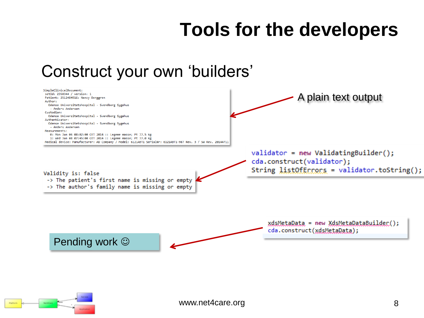## **Tools for the developers**

### Construct your own 'builders'

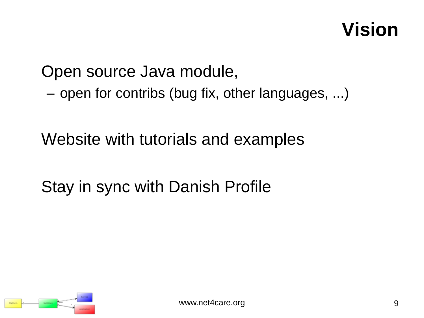## **Vision**

### Open source Java module,

– open for contribs (bug fix, other languages, ...)

### Website with tutorials and examples

## Stay in sync with Danish Profile